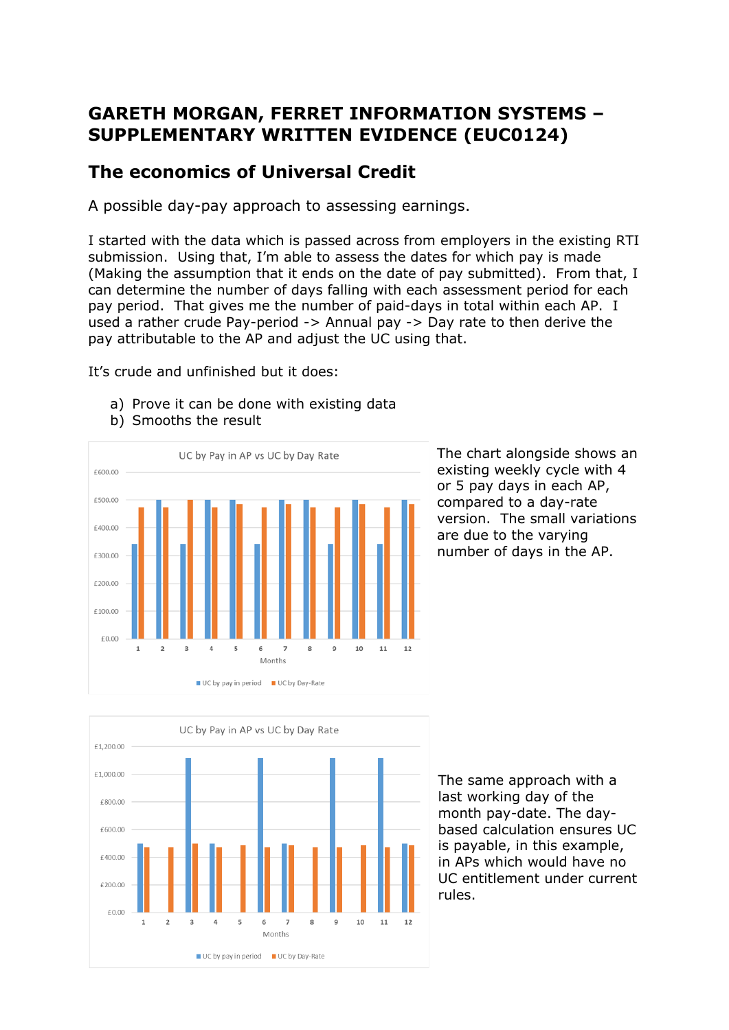## **GARETH MORGAN, FERRET INFORMATION SYSTEMS – SUPPLEMENTARY WRITTEN EVIDENCE (EUC0124)**

## **The economics of Universal Credit**

A possible day-pay approach to assessing earnings.

I started with the data which is passed across from employers in the existing RTI submission. Using that, I'm able to assess the dates for which pay is made (Making the assumption that it ends on the date of pay submitted). From that, I can determine the number of days falling with each assessment period for each pay period. That gives me the number of paid-days in total within each AP. I used a rather crude Pay-period -> Annual pay -> Day rate to then derive the pay attributable to the AP and adjust the UC using that.

It's crude and unfinished but it does:

- a) Prove it can be done with existing data
- b) Smooths the result



The chart alongside shows an existing weekly cycle with 4 or 5 pay days in each AP, compared to a day-rate version. The small variations are due to the varying number of days in the AP.



The same approach with a last working day of the month pay-date. The daybased calculation ensures UC is payable, in this example, in APs which would have no UC entitlement under current rules.